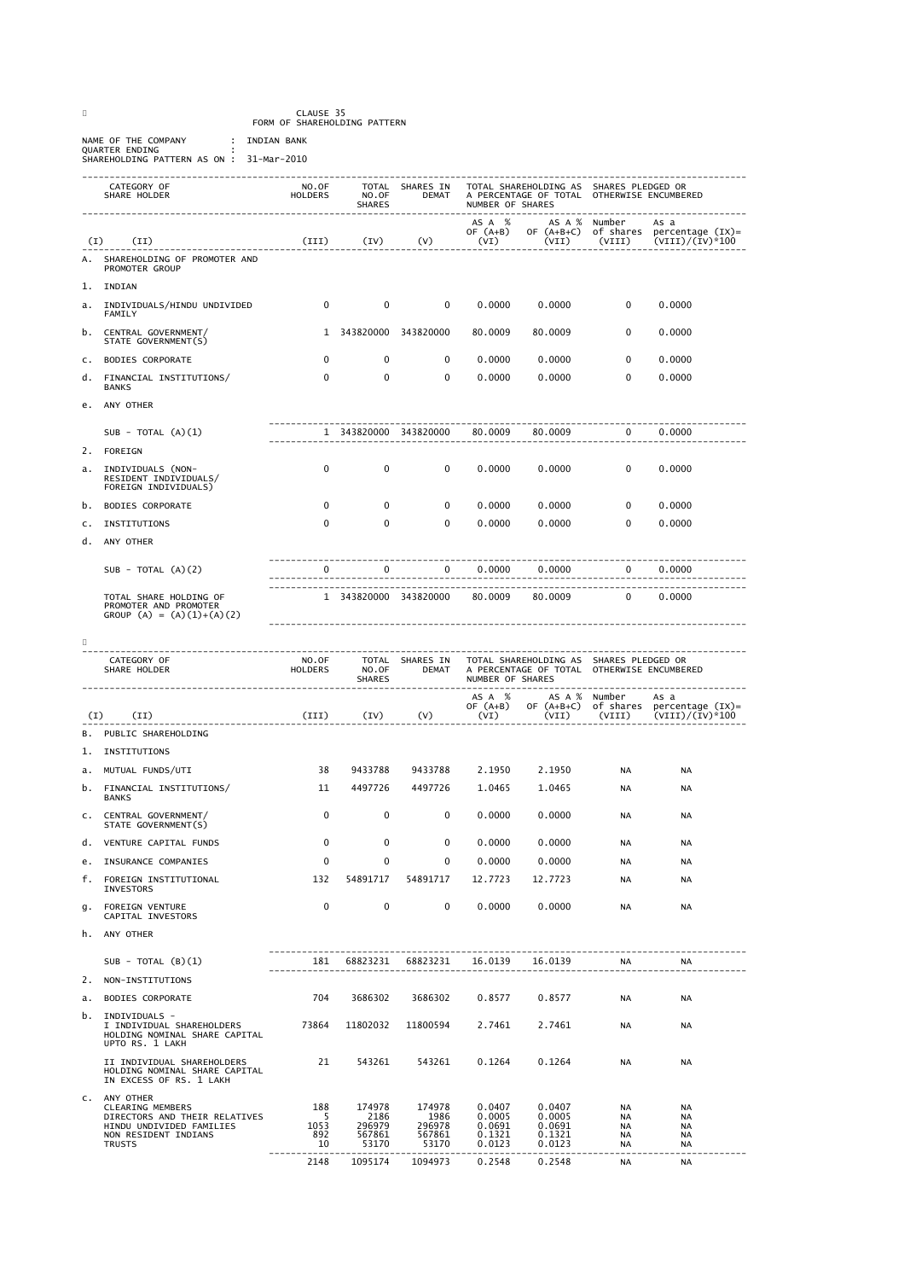CLAUSE 35 FORM OF SHAREHOLDING PATTERN

NAME OF THE COMPANY INDIAN BANK<br>QUARTER ENDING<br>SHAREHOLDING PATTERN AS ON : 31-Mar-2010

| CATEGORY OF<br>SHARE HOLDER<br>--------------------------- |                                                                                                   | NO.OF<br>HOLDERS              | NO.OF<br><b>SHARES</b> | TOTAL SHARES IN<br><b>DEMAT</b> | TOTAL SHAREHOLDING AS SHARES PLEDGED OR<br>A PERCENTAGE OF TOTAL OTHERWISE ENCUMBERED<br>NUMBER OF SHARES |                                                                                       |                         |                                                         |  |
|------------------------------------------------------------|---------------------------------------------------------------------------------------------------|-------------------------------|------------------------|---------------------------------|-----------------------------------------------------------------------------------------------------------|---------------------------------------------------------------------------------------|-------------------------|---------------------------------------------------------|--|
| (I)                                                        | (II)                                                                                              | (III)                         | (IV)                   | (V)                             | AS A %<br>OF $(A+B)$<br>(VI)                                                                              | OF $(A+B+C)$<br>(VII)                                                                 | AS A % Number<br>(VIII) | As a<br>of shares percentage (IX)=<br>$(VIII)/(IV)*100$ |  |
| А.                                                         | SHAREHOLDING OF PROMOTER AND<br>PROMOTER GROUP                                                    |                               |                        |                                 |                                                                                                           |                                                                                       |                         |                                                         |  |
| 1.                                                         | INDIAN                                                                                            |                               |                        |                                 |                                                                                                           |                                                                                       |                         |                                                         |  |
| а.                                                         | INDIVIDUALS/HINDU UNDIVIDED<br>FAMILY                                                             | $\mathbf 0$                   | $\mathbf 0$            | 0                               | 0.0000                                                                                                    | 0.0000                                                                                | $\mathbf 0$             | 0.0000                                                  |  |
| b.                                                         | CENTRAL GOVERNMENT/<br>STATE GOVERNMENT(S)                                                        | 1                             | 343820000 343820000    |                                 | 80.0009                                                                                                   | 80.0009                                                                               | 0                       | 0.0000                                                  |  |
| с.                                                         | <b>BODIES CORPORATE</b>                                                                           | 0                             | 0                      | 0                               | 0.0000                                                                                                    | 0.0000                                                                                | $\mathbf 0$             | 0.0000                                                  |  |
| d.                                                         | FINANCIAL INSTITUTIONS/<br><b>BANKS</b>                                                           | 0                             | 0                      | 0                               | 0.0000                                                                                                    | 0.0000                                                                                | 0                       | 0.0000                                                  |  |
| е.                                                         | ANY OTHER                                                                                         |                               |                        |                                 |                                                                                                           |                                                                                       |                         |                                                         |  |
|                                                            | SUB - TOTAL $(A)(1)$                                                                              |                               | 1 343820000 343820000  |                                 | 80.0009                                                                                                   | 80.0009                                                                               | $\overline{\mathbf{0}}$ | 0.0000                                                  |  |
| 2.                                                         | FOREIGN                                                                                           |                               |                        |                                 |                                                                                                           |                                                                                       |                         |                                                         |  |
| а.                                                         | INDIVIDUALS (NON-<br>RESIDENT INDIVIDUALS/<br>FOREIGN INDIVIDUALS)                                | 0                             | $\mathbf 0$            | 0                               | 0.0000                                                                                                    | 0.0000                                                                                | $\mathbf 0$             | 0.0000                                                  |  |
| b.                                                         | <b>BODIES CORPORATE</b>                                                                           | 0                             | $\mathbf 0$            | 0                               | 0.0000                                                                                                    | 0.0000                                                                                | $\mathbf 0$             | 0.0000                                                  |  |
| с.                                                         | INSTITUTIONS                                                                                      | 0                             | 0                      | 0                               | 0.0000                                                                                                    | 0.0000                                                                                | $\mathbf 0$             | 0.0000                                                  |  |
| d.                                                         | ANY OTHER                                                                                         |                               |                        |                                 |                                                                                                           |                                                                                       |                         |                                                         |  |
|                                                            | SUB - TOTAL $(A)(2)$                                                                              | 0                             | $\mathbf 0$            | $\mathbf 0$                     | 0.0000                                                                                                    | 0.0000                                                                                | $\mathbf{0}$            | 0.0000                                                  |  |
|                                                            | TOTAL SHARE HOLDING OF<br>PROMOTER AND PROMOTER<br>GROUP (A) = $(A)(1)+(A)(2)$                    |                               | 1 343820000 343820000  |                                 | 80.0009                                                                                                   | 80.0009                                                                               | 0                       | 0.0000                                                  |  |
|                                                            | CATEGORY OF<br>SHARE HOLDER                                                                       | NO.OF<br><b>HOLDERS</b>       | NO.OF<br><b>SHARES</b> | TOTAL SHARES IN<br><b>DEMAT</b> | NUMBER OF SHARES<br>AS A %                                                                                | TOTAL SHAREHOLDING AS SHARES PLEDGED OR<br>A PERCENTAGE OF TOTAL OTHERWISE ENCUMBERED | AS A % Number           | As a                                                    |  |
| (I)                                                        | (II)                                                                                              | (III)                         | (IV)                   | (V)                             | OF $(A+B)$<br>(VI)                                                                                        | OF (A+B+C)<br>(VII)                                                                   | (VIII)                  | of shares percentage (IX)=<br>$(VIII)/(IV)*100$         |  |
| В.                                                         | PUBLIC SHAREHOLDING                                                                               |                               |                        |                                 |                                                                                                           |                                                                                       |                         |                                                         |  |
| 1.                                                         | INSTITUTIONS                                                                                      |                               |                        |                                 |                                                                                                           |                                                                                       |                         |                                                         |  |
| а.                                                         | MUTUAL FUNDS/UTI                                                                                  | 38                            | 9433788                | 9433788                         | 2.1950                                                                                                    | 2.1950                                                                                | <b>NA</b>               | <b>NA</b>                                               |  |
| b.                                                         | FINANCIAL INSTITUTIONS/<br><b>BANKS</b>                                                           | 11                            | 4497726                | 4497726                         | 1.0465                                                                                                    | 1.0465                                                                                | <b>NA</b>               | <b>NA</b>                                               |  |
| с.                                                         | CENTRAL GOVERNMENT/<br>STATE GOVERNMENT(S)                                                        | 0                             | 0                      | 0                               | 0.0000                                                                                                    | 0.0000                                                                                | <b>NA</b>               | <b>NA</b>                                               |  |
|                                                            | d. VENTURE CAPITAL FUNDS                                                                          | 0                             | 0                      | 0                               | 0.0000                                                                                                    | 0.0000                                                                                | <b>NA</b>               | <b>NA</b>                                               |  |
|                                                            | e. INSURANCE COMPANIES                                                                            | $\mathbf 0$                   | $\mathbf 0$            | $\mathbf 0$                     | 0.0000                                                                                                    | 0.0000                                                                                | NA                      | <b>NA</b>                                               |  |
|                                                            | f. FOREIGN INSTITUTIONAL<br>INVESTORS                                                             | 132                           | 54891717               | 54891717                        | 12.7723                                                                                                   | 12.7723                                                                               | NA                      | <b>NA</b>                                               |  |
|                                                            | g. FOREIGN VENTURE<br>CAPITAL INVESTORS                                                           | 0                             | $\mathbf{0}$           | $\mathbf 0$                     | 0.0000                                                                                                    | 0.0000                                                                                | <b>NA</b>               | <b>NA</b>                                               |  |
|                                                            | h. ANY OTHER                                                                                      |                               |                        |                                 |                                                                                                           |                                                                                       |                         |                                                         |  |
|                                                            | SUB - TOTAL $(B)(1)$                                                                              | . <u>.</u> .<br>------------- |                        | 181 68823231 68823231 16.0139   |                                                                                                           | 16.0139                                                                               | <b>NA</b>               | NA                                                      |  |
|                                                            | 2. NON-INSTITUTIONS                                                                               |                               |                        |                                 |                                                                                                           |                                                                                       |                         |                                                         |  |
|                                                            | a. BODIES CORPORATE                                                                               | 704                           | 3686302                | 3686302                         | 0.8577                                                                                                    | 0.8577                                                                                | <b>NA</b>               | NA                                                      |  |
|                                                            | b. INDIVIDUALS –<br>I INDIVIDUAL SHAREHOLDERS<br>HOLDING NOMINAL SHARE CAPITAL<br>UPTO RS. 1 LAKH | 73864                         |                        | 11802032 11800594               | 2.7461                                                                                                    | 2.7461                                                                                | <b>NA</b>               | NA                                                      |  |
|                                                            | II INDIVIDUAL SHAREHOLDERS<br>HOLDING NOMINAL SHARE CAPITAL<br>IN EXCESS OF RS. 1 LAKH            | 21                            |                        |                                 |                                                                                                           |                                                                                       | <b>NA</b>               | NA                                                      |  |
|                                                            | C. ANY OTHER<br>CLEARING MEMBERS                                                                  | 188                           | 174978                 | 174978                          | 0.0407                                                                                                    | 0.0407                                                                                | <b>NA</b>               | <b>NA</b>                                               |  |
|                                                            | DIRECTORS AND THEIR RELATIVES<br>HINDU UNDIVIDED FAMILIES                                         | - 5<br>1053                   | 2186<br>296979         | 1986<br>296978                  | 0.0005<br>0.0691                                                                                          | 0.0005<br>0.0691                                                                      | <b>NA</b><br><b>NA</b>  | <b>NA</b><br><b>NA</b>                                  |  |
|                                                            | NON RESIDENT INDIANS<br><b>TRUSTS</b>                                                             | 892<br>- 10                   | 567861<br>53170        | 567861<br>53170                 | 0.1321<br>0.0123                                                                                          | 0.1321<br>0.0123                                                                      | <b>NA</b><br>NA         | <b>NA</b><br>NA                                         |  |
|                                                            |                                                                                                   | 2148                          | 1095174                | 1094973                         |                                                                                                           | 0.2548 0.2548                                                                         | NA                      | NA                                                      |  |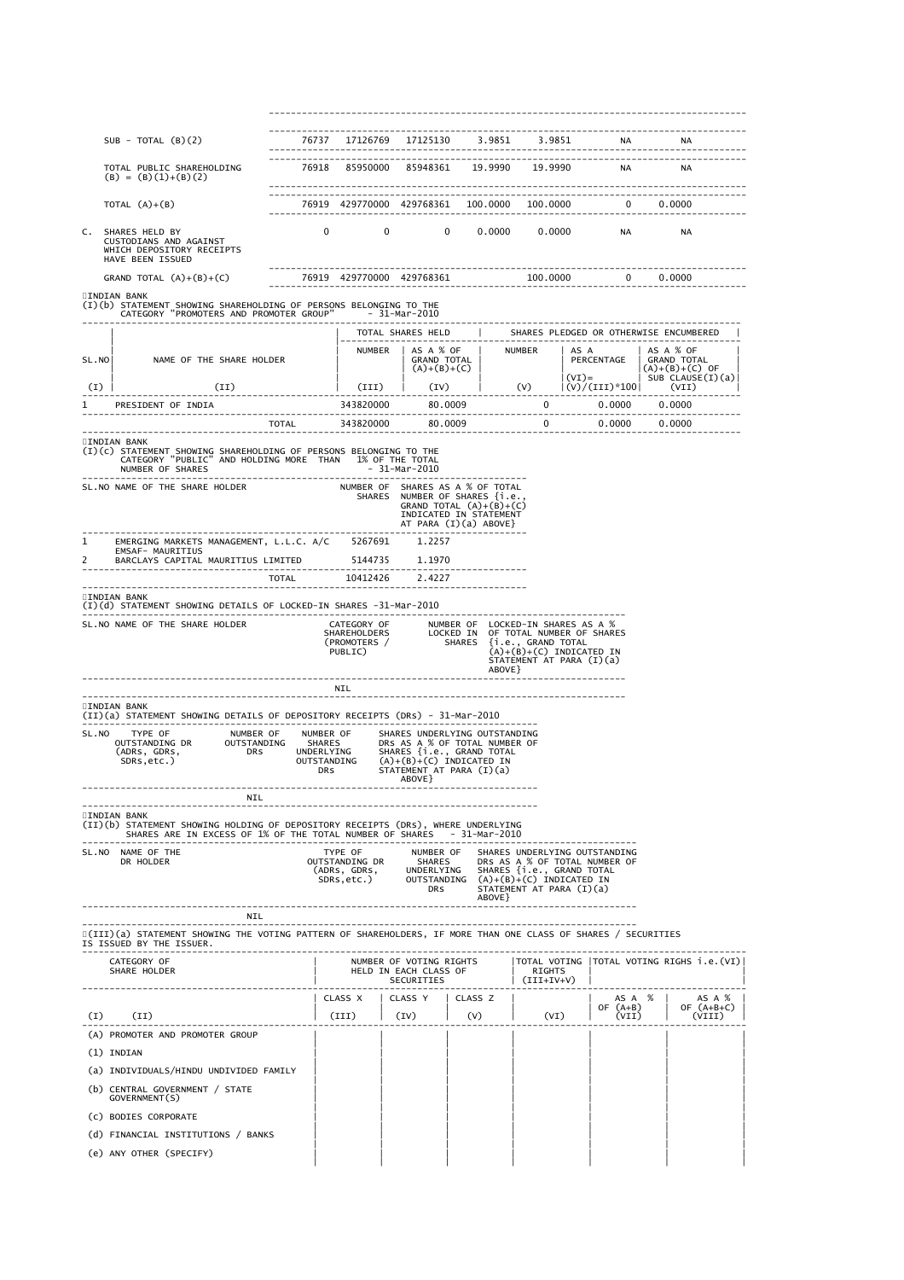| SUB - TOTAL $(B)(2)$                                                     |                                                                                                                                                                                                                                                                          |                                                         |                                                                                                                                   |                                                                                                                                                                                                                                                                                                                                                                                                                       |                                                                                                                                                                                                                                 |                                                                                         |                                                                                                                                                                                                                                                                                                                                                                                                                                                                           |                                                                                                                                                                                                                                                                                                                                                 |                                                                                                                                                                                                                                                                                                                                                                                                                                                                                                                                                                                                                                                                                                                                                                                                                                                                                                                                                                                                                                                                                                                   |  |
|--------------------------------------------------------------------------|--------------------------------------------------------------------------------------------------------------------------------------------------------------------------------------------------------------------------------------------------------------------------|---------------------------------------------------------|-----------------------------------------------------------------------------------------------------------------------------------|-----------------------------------------------------------------------------------------------------------------------------------------------------------------------------------------------------------------------------------------------------------------------------------------------------------------------------------------------------------------------------------------------------------------------|---------------------------------------------------------------------------------------------------------------------------------------------------------------------------------------------------------------------------------|-----------------------------------------------------------------------------------------|---------------------------------------------------------------------------------------------------------------------------------------------------------------------------------------------------------------------------------------------------------------------------------------------------------------------------------------------------------------------------------------------------------------------------------------------------------------------------|-------------------------------------------------------------------------------------------------------------------------------------------------------------------------------------------------------------------------------------------------------------------------------------------------------------------------------------------------|-------------------------------------------------------------------------------------------------------------------------------------------------------------------------------------------------------------------------------------------------------------------------------------------------------------------------------------------------------------------------------------------------------------------------------------------------------------------------------------------------------------------------------------------------------------------------------------------------------------------------------------------------------------------------------------------------------------------------------------------------------------------------------------------------------------------------------------------------------------------------------------------------------------------------------------------------------------------------------------------------------------------------------------------------------------------------------------------------------------------|--|
|                                                                          |                                                                                                                                                                                                                                                                          |                                                         |                                                                                                                                   |                                                                                                                                                                                                                                                                                                                                                                                                                       |                                                                                                                                                                                                                                 |                                                                                         |                                                                                                                                                                                                                                                                                                                                                                                                                                                                           |                                                                                                                                                                                                                                                                                                                                                 |                                                                                                                                                                                                                                                                                                                                                                                                                                                                                                                                                                                                                                                                                                                                                                                                                                                                                                                                                                                                                                                                                                                   |  |
|                                                                          |                                                                                                                                                                                                                                                                          |                                                         |                                                                                                                                   |                                                                                                                                                                                                                                                                                                                                                                                                                       |                                                                                                                                                                                                                                 |                                                                                         |                                                                                                                                                                                                                                                                                                                                                                                                                                                                           |                                                                                                                                                                                                                                                                                                                                                 |                                                                                                                                                                                                                                                                                                                                                                                                                                                                                                                                                                                                                                                                                                                                                                                                                                                                                                                                                                                                                                                                                                                   |  |
|                                                                          |                                                                                                                                                                                                                                                                          |                                                         |                                                                                                                                   |                                                                                                                                                                                                                                                                                                                                                                                                                       |                                                                                                                                                                                                                                 |                                                                                         |                                                                                                                                                                                                                                                                                                                                                                                                                                                                           |                                                                                                                                                                                                                                                                                                                                                 |                                                                                                                                                                                                                                                                                                                                                                                                                                                                                                                                                                                                                                                                                                                                                                                                                                                                                                                                                                                                                                                                                                                   |  |
|                                                                          |                                                                                                                                                                                                                                                                          |                                                         |                                                                                                                                   |                                                                                                                                                                                                                                                                                                                                                                                                                       |                                                                                                                                                                                                                                 |                                                                                         |                                                                                                                                                                                                                                                                                                                                                                                                                                                                           |                                                                                                                                                                                                                                                                                                                                                 |                                                                                                                                                                                                                                                                                                                                                                                                                                                                                                                                                                                                                                                                                                                                                                                                                                                                                                                                                                                                                                                                                                                   |  |
|                                                                          |                                                                                                                                                                                                                                                                          |                                                         |                                                                                                                                   |                                                                                                                                                                                                                                                                                                                                                                                                                       |                                                                                                                                                                                                                                 |                                                                                         |                                                                                                                                                                                                                                                                                                                                                                                                                                                                           |                                                                                                                                                                                                                                                                                                                                                 |                                                                                                                                                                                                                                                                                                                                                                                                                                                                                                                                                                                                                                                                                                                                                                                                                                                                                                                                                                                                                                                                                                                   |  |
|                                                                          |                                                                                                                                                                                                                                                                          |                                                         |                                                                                                                                   |                                                                                                                                                                                                                                                                                                                                                                                                                       |                                                                                                                                                                                                                                 |                                                                                         |                                                                                                                                                                                                                                                                                                                                                                                                                                                                           |                                                                                                                                                                                                                                                                                                                                                 |                                                                                                                                                                                                                                                                                                                                                                                                                                                                                                                                                                                                                                                                                                                                                                                                                                                                                                                                                                                                                                                                                                                   |  |
|                                                                          |                                                                                                                                                                                                                                                                          |                                                         |                                                                                                                                   |                                                                                                                                                                                                                                                                                                                                                                                                                       |                                                                                                                                                                                                                                 |                                                                                         |                                                                                                                                                                                                                                                                                                                                                                                                                                                                           |                                                                                                                                                                                                                                                                                                                                                 |                                                                                                                                                                                                                                                                                                                                                                                                                                                                                                                                                                                                                                                                                                                                                                                                                                                                                                                                                                                                                                                                                                                   |  |
|                                                                          |                                                                                                                                                                                                                                                                          |                                                         |                                                                                                                                   |                                                                                                                                                                                                                                                                                                                                                                                                                       |                                                                                                                                                                                                                                 |                                                                                         |                                                                                                                                                                                                                                                                                                                                                                                                                                                                           | AS A % OF                                                                                                                                                                                                                                                                                                                                       |                                                                                                                                                                                                                                                                                                                                                                                                                                                                                                                                                                                                                                                                                                                                                                                                                                                                                                                                                                                                                                                                                                                   |  |
|                                                                          |                                                                                                                                                                                                                                                                          |                                                         |                                                                                                                                   |                                                                                                                                                                                                                                                                                                                                                                                                                       |                                                                                                                                                                                                                                 |                                                                                         |                                                                                                                                                                                                                                                                                                                                                                                                                                                                           |                                                                                                                                                                                                                                                                                                                                                 |                                                                                                                                                                                                                                                                                                                                                                                                                                                                                                                                                                                                                                                                                                                                                                                                                                                                                                                                                                                                                                                                                                                   |  |
|                                                                          |                                                                                                                                                                                                                                                                          |                                                         |                                                                                                                                   |                                                                                                                                                                                                                                                                                                                                                                                                                       |                                                                                                                                                                                                                                 |                                                                                         |                                                                                                                                                                                                                                                                                                                                                                                                                                                                           |                                                                                                                                                                                                                                                                                                                                                 |                                                                                                                                                                                                                                                                                                                                                                                                                                                                                                                                                                                                                                                                                                                                                                                                                                                                                                                                                                                                                                                                                                                   |  |
|                                                                          |                                                                                                                                                                                                                                                                          |                                                         |                                                                                                                                   |                                                                                                                                                                                                                                                                                                                                                                                                                       |                                                                                                                                                                                                                                 |                                                                                         |                                                                                                                                                                                                                                                                                                                                                                                                                                                                           |                                                                                                                                                                                                                                                                                                                                                 |                                                                                                                                                                                                                                                                                                                                                                                                                                                                                                                                                                                                                                                                                                                                                                                                                                                                                                                                                                                                                                                                                                                   |  |
|                                                                          |                                                                                                                                                                                                                                                                          |                                                         |                                                                                                                                   |                                                                                                                                                                                                                                                                                                                                                                                                                       |                                                                                                                                                                                                                                 |                                                                                         |                                                                                                                                                                                                                                                                                                                                                                                                                                                                           |                                                                                                                                                                                                                                                                                                                                                 |                                                                                                                                                                                                                                                                                                                                                                                                                                                                                                                                                                                                                                                                                                                                                                                                                                                                                                                                                                                                                                                                                                                   |  |
|                                                                          |                                                                                                                                                                                                                                                                          |                                                         |                                                                                                                                   |                                                                                                                                                                                                                                                                                                                                                                                                                       |                                                                                                                                                                                                                                 |                                                                                         |                                                                                                                                                                                                                                                                                                                                                                                                                                                                           |                                                                                                                                                                                                                                                                                                                                                 |                                                                                                                                                                                                                                                                                                                                                                                                                                                                                                                                                                                                                                                                                                                                                                                                                                                                                                                                                                                                                                                                                                                   |  |
|                                                                          |                                                                                                                                                                                                                                                                          |                                                         |                                                                                                                                   |                                                                                                                                                                                                                                                                                                                                                                                                                       |                                                                                                                                                                                                                                 |                                                                                         |                                                                                                                                                                                                                                                                                                                                                                                                                                                                           |                                                                                                                                                                                                                                                                                                                                                 |                                                                                                                                                                                                                                                                                                                                                                                                                                                                                                                                                                                                                                                                                                                                                                                                                                                                                                                                                                                                                                                                                                                   |  |
|                                                                          |                                                                                                                                                                                                                                                                          |                                                         |                                                                                                                                   |                                                                                                                                                                                                                                                                                                                                                                                                                       |                                                                                                                                                                                                                                 |                                                                                         |                                                                                                                                                                                                                                                                                                                                                                                                                                                                           |                                                                                                                                                                                                                                                                                                                                                 |                                                                                                                                                                                                                                                                                                                                                                                                                                                                                                                                                                                                                                                                                                                                                                                                                                                                                                                                                                                                                                                                                                                   |  |
|                                                                          |                                                                                                                                                                                                                                                                          |                                                         |                                                                                                                                   |                                                                                                                                                                                                                                                                                                                                                                                                                       |                                                                                                                                                                                                                                 |                                                                                         |                                                                                                                                                                                                                                                                                                                                                                                                                                                                           |                                                                                                                                                                                                                                                                                                                                                 |                                                                                                                                                                                                                                                                                                                                                                                                                                                                                                                                                                                                                                                                                                                                                                                                                                                                                                                                                                                                                                                                                                                   |  |
|                                                                          |                                                                                                                                                                                                                                                                          |                                                         |                                                                                                                                   |                                                                                                                                                                                                                                                                                                                                                                                                                       |                                                                                                                                                                                                                                 |                                                                                         |                                                                                                                                                                                                                                                                                                                                                                                                                                                                           |                                                                                                                                                                                                                                                                                                                                                 |                                                                                                                                                                                                                                                                                                                                                                                                                                                                                                                                                                                                                                                                                                                                                                                                                                                                                                                                                                                                                                                                                                                   |  |
|                                                                          |                                                                                                                                                                                                                                                                          |                                                         |                                                                                                                                   |                                                                                                                                                                                                                                                                                                                                                                                                                       |                                                                                                                                                                                                                                 |                                                                                         |                                                                                                                                                                                                                                                                                                                                                                                                                                                                           |                                                                                                                                                                                                                                                                                                                                                 |                                                                                                                                                                                                                                                                                                                                                                                                                                                                                                                                                                                                                                                                                                                                                                                                                                                                                                                                                                                                                                                                                                                   |  |
|                                                                          |                                                                                                                                                                                                                                                                          |                                                         |                                                                                                                                   |                                                                                                                                                                                                                                                                                                                                                                                                                       |                                                                                                                                                                                                                                 |                                                                                         |                                                                                                                                                                                                                                                                                                                                                                                                                                                                           |                                                                                                                                                                                                                                                                                                                                                 |                                                                                                                                                                                                                                                                                                                                                                                                                                                                                                                                                                                                                                                                                                                                                                                                                                                                                                                                                                                                                                                                                                                   |  |
|                                                                          |                                                                                                                                                                                                                                                                          |                                                         |                                                                                                                                   |                                                                                                                                                                                                                                                                                                                                                                                                                       |                                                                                                                                                                                                                                 |                                                                                         |                                                                                                                                                                                                                                                                                                                                                                                                                                                                           |                                                                                                                                                                                                                                                                                                                                                 |                                                                                                                                                                                                                                                                                                                                                                                                                                                                                                                                                                                                                                                                                                                                                                                                                                                                                                                                                                                                                                                                                                                   |  |
|                                                                          |                                                                                                                                                                                                                                                                          |                                                         |                                                                                                                                   |                                                                                                                                                                                                                                                                                                                                                                                                                       |                                                                                                                                                                                                                                 |                                                                                         |                                                                                                                                                                                                                                                                                                                                                                                                                                                                           |                                                                                                                                                                                                                                                                                                                                                 |                                                                                                                                                                                                                                                                                                                                                                                                                                                                                                                                                                                                                                                                                                                                                                                                                                                                                                                                                                                                                                                                                                                   |  |
|                                                                          |                                                                                                                                                                                                                                                                          |                                                         |                                                                                                                                   |                                                                                                                                                                                                                                                                                                                                                                                                                       |                                                                                                                                                                                                                                 |                                                                                         |                                                                                                                                                                                                                                                                                                                                                                                                                                                                           |                                                                                                                                                                                                                                                                                                                                                 |                                                                                                                                                                                                                                                                                                                                                                                                                                                                                                                                                                                                                                                                                                                                                                                                                                                                                                                                                                                                                                                                                                                   |  |
|                                                                          |                                                                                                                                                                                                                                                                          |                                                         | ABOVE }                                                                                                                           |                                                                                                                                                                                                                                                                                                                                                                                                                       |                                                                                                                                                                                                                                 |                                                                                         |                                                                                                                                                                                                                                                                                                                                                                                                                                                                           |                                                                                                                                                                                                                                                                                                                                                 |                                                                                                                                                                                                                                                                                                                                                                                                                                                                                                                                                                                                                                                                                                                                                                                                                                                                                                                                                                                                                                                                                                                   |  |
| NIL                                                                      |                                                                                                                                                                                                                                                                          |                                                         |                                                                                                                                   |                                                                                                                                                                                                                                                                                                                                                                                                                       |                                                                                                                                                                                                                                 |                                                                                         |                                                                                                                                                                                                                                                                                                                                                                                                                                                                           |                                                                                                                                                                                                                                                                                                                                                 |                                                                                                                                                                                                                                                                                                                                                                                                                                                                                                                                                                                                                                                                                                                                                                                                                                                                                                                                                                                                                                                                                                                   |  |
|                                                                          |                                                                                                                                                                                                                                                                          |                                                         |                                                                                                                                   |                                                                                                                                                                                                                                                                                                                                                                                                                       |                                                                                                                                                                                                                                 |                                                                                         |                                                                                                                                                                                                                                                                                                                                                                                                                                                                           |                                                                                                                                                                                                                                                                                                                                                 |                                                                                                                                                                                                                                                                                                                                                                                                                                                                                                                                                                                                                                                                                                                                                                                                                                                                                                                                                                                                                                                                                                                   |  |
|                                                                          |                                                                                                                                                                                                                                                                          |                                                         |                                                                                                                                   |                                                                                                                                                                                                                                                                                                                                                                                                                       |                                                                                                                                                                                                                                 |                                                                                         |                                                                                                                                                                                                                                                                                                                                                                                                                                                                           |                                                                                                                                                                                                                                                                                                                                                 |                                                                                                                                                                                                                                                                                                                                                                                                                                                                                                                                                                                                                                                                                                                                                                                                                                                                                                                                                                                                                                                                                                                   |  |
| NIL                                                                      |                                                                                                                                                                                                                                                                          |                                                         |                                                                                                                                   |                                                                                                                                                                                                                                                                                                                                                                                                                       |                                                                                                                                                                                                                                 |                                                                                         |                                                                                                                                                                                                                                                                                                                                                                                                                                                                           |                                                                                                                                                                                                                                                                                                                                                 |                                                                                                                                                                                                                                                                                                                                                                                                                                                                                                                                                                                                                                                                                                                                                                                                                                                                                                                                                                                                                                                                                                                   |  |
|                                                                          |                                                                                                                                                                                                                                                                          |                                                         |                                                                                                                                   |                                                                                                                                                                                                                                                                                                                                                                                                                       |                                                                                                                                                                                                                                 |                                                                                         |                                                                                                                                                                                                                                                                                                                                                                                                                                                                           |                                                                                                                                                                                                                                                                                                                                                 |                                                                                                                                                                                                                                                                                                                                                                                                                                                                                                                                                                                                                                                                                                                                                                                                                                                                                                                                                                                                                                                                                                                   |  |
| CATEGORY OF<br>SHARE HOLDER                                              |                                                                                                                                                                                                                                                                          |                                                         | SECURITIES                                                                                                                        | HELD IN EACH CLASS OF                                                                                                                                                                                                                                                                                                                                                                                                 |                                                                                                                                                                                                                                 | RIGHTS<br>$\vert$ (III+IV+V)                                                            |                                                                                                                                                                                                                                                                                                                                                                                                                                                                           |                                                                                                                                                                                                                                                                                                                                                 |                                                                                                                                                                                                                                                                                                                                                                                                                                                                                                                                                                                                                                                                                                                                                                                                                                                                                                                                                                                                                                                                                                                   |  |
|                                                                          |                                                                                                                                                                                                                                                                          |                                                         |                                                                                                                                   |                                                                                                                                                                                                                                                                                                                                                                                                                       |                                                                                                                                                                                                                                 |                                                                                         |                                                                                                                                                                                                                                                                                                                                                                                                                                                                           |                                                                                                                                                                                                                                                                                                                                                 |                                                                                                                                                                                                                                                                                                                                                                                                                                                                                                                                                                                                                                                                                                                                                                                                                                                                                                                                                                                                                                                                                                                   |  |
| ------------------------------------                                     |                                                                                                                                                                                                                                                                          |                                                         | CLASS X   CLASS Y   CLASS Z                                                                                                       |                                                                                                                                                                                                                                                                                                                                                                                                                       |                                                                                                                                                                                                                                 |                                                                                         |                                                                                                                                                                                                                                                                                                                                                                                                                                                                           |                                                                                                                                                                                                                                                                                                                                                 | AS A %                                                                                                                                                                                                                                                                                                                                                                                                                                                                                                                                                                                                                                                                                                                                                                                                                                                                                                                                                                                                                                                                                                            |  |
| --------------------------------                                         |                                                                                                                                                                                                                                                                          |                                                         |                                                                                                                                   |                                                                                                                                                                                                                                                                                                                                                                                                                       |                                                                                                                                                                                                                                 |                                                                                         | $\begin{array}{ c c c c c }\n & & \text{AS A} & \text{\%} & \text{\_} \\ \text{OF (A+B)} & & \text{\_} \\ \end{array}$<br>$(III)$ $(IV)$ $(V)$ $(VI)$ $(VII)$                                                                                                                                                                                                                                                                                                             | $ $ (VIII)                                                                                                                                                                                                                                                                                                                                      | $\vert$ OF $(A+B+C)$                                                                                                                                                                                                                                                                                                                                                                                                                                                                                                                                                                                                                                                                                                                                                                                                                                                                                                                                                                                                                                                                                              |  |
| (A) PROMOTER AND PROMOTER GROUP                                          |                                                                                                                                                                                                                                                                          |                                                         |                                                                                                                                   |                                                                                                                                                                                                                                                                                                                                                                                                                       |                                                                                                                                                                                                                                 |                                                                                         |                                                                                                                                                                                                                                                                                                                                                                                                                                                                           |                                                                                                                                                                                                                                                                                                                                                 |                                                                                                                                                                                                                                                                                                                                                                                                                                                                                                                                                                                                                                                                                                                                                                                                                                                                                                                                                                                                                                                                                                                   |  |
|                                                                          |                                                                                                                                                                                                                                                                          |                                                         |                                                                                                                                   |                                                                                                                                                                                                                                                                                                                                                                                                                       |                                                                                                                                                                                                                                 |                                                                                         |                                                                                                                                                                                                                                                                                                                                                                                                                                                                           |                                                                                                                                                                                                                                                                                                                                                 |                                                                                                                                                                                                                                                                                                                                                                                                                                                                                                                                                                                                                                                                                                                                                                                                                                                                                                                                                                                                                                                                                                                   |  |
| (a) INDIVIDUALS/HINDU UNDIVIDED FAMILY<br>(b) CENTRAL GOVERNMENT / STATE |                                                                                                                                                                                                                                                                          |                                                         |                                                                                                                                   |                                                                                                                                                                                                                                                                                                                                                                                                                       |                                                                                                                                                                                                                                 |                                                                                         |                                                                                                                                                                                                                                                                                                                                                                                                                                                                           |                                                                                                                                                                                                                                                                                                                                                 |                                                                                                                                                                                                                                                                                                                                                                                                                                                                                                                                                                                                                                                                                                                                                                                                                                                                                                                                                                                                                                                                                                                   |  |
|                                                                          |                                                                                                                                                                                                                                                                          |                                                         |                                                                                                                                   |                                                                                                                                                                                                                                                                                                                                                                                                                       |                                                                                                                                                                                                                                 |                                                                                         |                                                                                                                                                                                                                                                                                                                                                                                                                                                                           |                                                                                                                                                                                                                                                                                                                                                 |                                                                                                                                                                                                                                                                                                                                                                                                                                                                                                                                                                                                                                                                                                                                                                                                                                                                                                                                                                                                                                                                                                                   |  |
| (c) BODIES CORPORATE<br>(d) FINANCIAL INSTITUTIONS / BANKS               |                                                                                                                                                                                                                                                                          |                                                         |                                                                                                                                   |                                                                                                                                                                                                                                                                                                                                                                                                                       |                                                                                                                                                                                                                                 |                                                                                         |                                                                                                                                                                                                                                                                                                                                                                                                                                                                           |                                                                                                                                                                                                                                                                                                                                                 |                                                                                                                                                                                                                                                                                                                                                                                                                                                                                                                                                                                                                                                                                                                                                                                                                                                                                                                                                                                                                                                                                                                   |  |
|                                                                          | TOTAL PUBLIC SHAREHOLDING<br>$(B) = (B)(1)+(B)(2)$<br>CUSTODIANS AND AGAINST<br>WHICH DEPOSITORY RECEIPTS<br>GRAND TOTAL $(A)+(B)+(C)$<br>NAME OF THE SHARE HOLDER<br>NUMBER OF SHARES<br>EMSAF- MAURITIUS<br>SL.NO NAME OF THE SHARE HOLDER<br>IS ISSUED BY THE ISSUER. | $\mathbf{0}$<br>EMERGING MARKETS MANAGEMENT, L.L.C. A/C | _____________________________<br>-----------------------------------<br>NIL<br>TYPE OF<br>SDRs, etc.)<br>------------------------ | $\overline{\mathbf{0}}$<br>(I)(b) STATEMENT SHOWING SHAREHOLDING OF PERSONS BELONGING TO THE<br>CATEGORY "PROMOTERS AND PROMOTER GROUP" - 31-Mar-2010<br>(I)(c) STATEMENT SHOWING SHAREHOLDING OF PERSONS BELONGING TO THE CATEGORY "PUBLIC" AND HOLDING MORE THAN 1% OF THE TOTAL<br>- 31-Mar-2010<br>5267691<br>(I)(d) STATEMENT SHOWING DETAILS OF LOCKED-IN SHARES -31-Mar-2010<br>OUTSTANDING DR<br>(ADRS, GDRS, | 76918 85950000 85948361<br>$\overline{\mathbf{0}}$<br>----------<br>1.2257<br>BARCLAYS CAPITAL MAURITIUS LIMITED 5144735 1.1970<br>TOTAL 10412426 2.4227<br>NUMBER OF<br>SHARES<br>UNDERLYING<br>DRS<br>NUMBER OF VOTING RIGHTS | (II)(a) STATEMENT SHOWING DETAILS OF DEPOSITORY RECEIPTS (DRs) - 31-Mar-2010<br>ABOVE } | 19.9990<br>0.0000<br>NUMBER   AS A % OF   NUMBER<br>GRAND TOTAL<br>(A)+(B)+(C)<br>TOTAL 343820000 80.0009<br>SL.NO NAME OF THE SHARE HOLDER<br>NUMBER OF SHARES AS A % OF TOTAL<br>SHARES NUMBER OF SHARES {i.e.<br>GRAND TOTAL $(A)+(B)+(C)$<br>INDICATED IN STATEMENT<br>AT PARA (I)(a) ABOVE}<br>ABOVE }<br>(II)(b) STATEMENT SHOWING HOLDING OF DEPOSITORY RECEIPTS (DRs), WHERE UNDERLYING<br>SHARES ARE IN EXCESS OF 1% OF THE TOTAL NUMBER OF SHARES - 31-Mar-2010 | 76737 17126769 17125130 3.9851 3.9851<br>19.9990<br>0.0000<br>CATEGORY OF MUMBER OF LOCKED-IN SHARES AS A %<br>SHAREHOLDERS LOCKED IN OF TOTAL NUMBER OF SHARES<br>(PROMOTERS / SHARES {i.e., GRAND TOTAL<br>PUBLIC) (A)+(B)+(C)_INDICATED_IN<br>STATEMENT AT PARA $(I)(a)$<br>OUTSTANDING (A)+(B)+(C) INDICATED IN<br>STATEMENT AT PARA (I)(a) | ----------------------<br>76919 429770000 429768361 100.0000 100.0000 0 0.0000<br><b>NA</b><br>NА<br>76919 429770000 429768361 100.0000 0 0.0000<br>TOTAL SHARES HELD   SHARES PLEDGED OR OTHERWISE ENCUMBERED<br>AS A<br>PERCENTAGE   GRAND TOTAL<br>$\begin{vmatrix} (A)+(B)+(C) & 0F \\ (VI) = & \cdot & \cdot \\ \end{vmatrix}$ SUB CLAUSE(I)(a)<br>$\begin{array}{c c c c c c c c c} \hline \text{(I1)} & \text{(II1)} & \text{(III1)} & \text{(IV)} & \text{(V)} & \text{(V) / (III)} * 100 & \text{CVD} \ \hline \text{L} & \text{(VII)} & \text{(IV)} & \text{(IV)} & \text{(IV)} \ \hline \text{L} & \text{(IVI)} & \text{(IVI)} & \text{(IVI)} \ \hline \text{L} & \text{(IVI)} & \text{(IVI)} & \text{(IVI)} & \text{(IVI)} \ \hline \text{L} & \text{(IVI)} & \text{(IVI)} & \text{(IVI)} & \text{(IVI)} & \$<br>$0 \t 0.0000 \t 0.0000$<br>SHARES UNDERLYING OUTSTANDING<br>DRS AS A % OF TOTAL NUMBER OF<br>SHARES {i.e., GRAND TOTAL<br>(III)(a) STATEMENT SHOWING THE VOTING PATTERN OF SHAREHOLDERS, IF MORE THAN ONE CLASS OF SHARES / SECURITIES<br> TOTAL VOTING  TOTAL VOTING RIGHS i.e.(VI) |  |